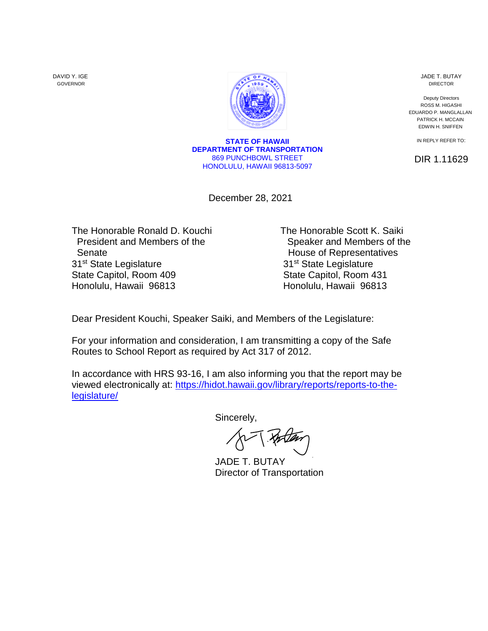DAVID Y. IGE GOVERNOR



**STATE OF HAWAII DEPARTMENT OF TRANSPORTATION** 869 PUNCHBOWL STREET HONOLULU, HAWAII 96813-5097

December 28, 2021

The Honorable Ronald D. Kouchi The Honorable Scott K. Saiki President and Members of the Speaker and Members of the Senate **House of Representatives** 31<sup>st</sup> State Legislature 31<sup>st</sup> State Legislature State Capitol, Room 409 State Capitol, Room 431 Honolulu, Hawaii 96813 **Honolulu, Hawaii 96813** 

Dear President Kouchi, Speaker Saiki, and Members of the Legislature:

For your information and consideration, I am transmitting a copy of the Safe Routes to School Report as required by Act 317 of 2012.

In accordance with HRS 93-16, I am also informing you that the report may be viewed electronically at: [https://hidot.hawaii.gov/library/reports/reports-to-the](https://hidot.hawaii.gov/library/reports/reports-to-the-legislature/)[legislature/](https://hidot.hawaii.gov/library/reports/reports-to-the-legislature/)

Sincerely,

[JADE T. BUTAY](https://stateofhawaii.na1.adobesign.com/verifier?tx=CBJCHBCAABAANJ3PsCoKAPbiqjzBGA76pufIFbhE8wFp) Director of Transportation

JADE T. BUTAY DIRECTOR

Deputy Directors ROSS M. HIGASHI EDUARDO P. MANGLALLAN PATRICK H. MCCAIN EDWIN H. SNIFFEN

IN REPLY REFER TO:

DIR 1.11629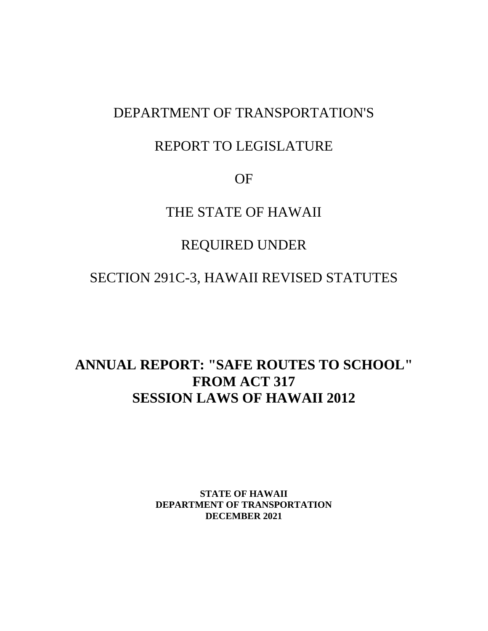### DEPARTMENT OF TRANSPORTATION'S

### REPORT TO LEGISLATURE

OF

### THE STATE OF HAWAII

## REQUIRED UNDER

## SECTION 291C-3, HAWAII REVISED STATUTES

# **ANNUAL REPORT: "SAFE ROUTES TO SCHOOL" FROM ACT 317 SESSION LAWS OF HAWAII 2012**

**STATE OF HAWAII DEPARTMENT OF TRANSPORTATION DECEMBER 2021**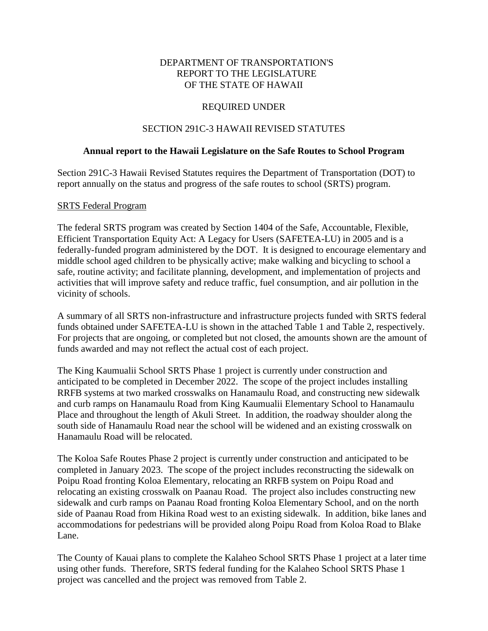#### DEPARTMENT OF TRANSPORTATION'S REPORT TO THE LEGISLATURE OF THE STATE OF HAWAII

#### REQUIRED UNDER

#### SECTION 291C-3 HAWAII REVISED STATUTES

#### **Annual report to the Hawaii Legislature on the Safe Routes to School Program**

Section 291C-3 Hawaii Revised Statutes requires the Department of Transportation (DOT) to report annually on the status and progress of the safe routes to school (SRTS) program.

#### SRTS Federal Program

The federal SRTS program was created by Section 1404 of the Safe, Accountable, Flexible, Efficient Transportation Equity Act: A Legacy for Users (SAFETEA-LU) in 2005 and is a federally-funded program administered by the DOT. It is designed to encourage elementary and middle school aged children to be physically active; make walking and bicycling to school a safe, routine activity; and facilitate planning, development, and implementation of projects and activities that will improve safety and reduce traffic, fuel consumption, and air pollution in the vicinity of schools.

A summary of all SRTS non-infrastructure and infrastructure projects funded with SRTS federal funds obtained under SAFETEA-LU is shown in the attached Table 1 and Table 2, respectively. For projects that are ongoing, or completed but not closed, the amounts shown are the amount of funds awarded and may not reflect the actual cost of each project.

The King Kaumualii School SRTS Phase 1 project is currently under construction and anticipated to be completed in December 2022. The scope of the project includes installing RRFB systems at two marked crosswalks on Hanamaulu Road, and constructing new sidewalk and curb ramps on Hanamaulu Road from King Kaumualii Elementary School to Hanamaulu Place and throughout the length of Akuli Street. In addition, the roadway shoulder along the south side of Hanamaulu Road near the school will be widened and an existing crosswalk on Hanamaulu Road will be relocated.

The Koloa Safe Routes Phase 2 project is currently under construction and anticipated to be completed in January 2023. The scope of the project includes reconstructing the sidewalk on Poipu Road fronting Koloa Elementary, relocating an RRFB system on Poipu Road and relocating an existing crosswalk on Paanau Road. The project also includes constructing new sidewalk and curb ramps on Paanau Road fronting Koloa Elementary School, and on the north side of Paanau Road from Hikina Road west to an existing sidewalk. In addition, bike lanes and accommodations for pedestrians will be provided along Poipu Road from Koloa Road to Blake Lane.

The County of Kauai plans to complete the Kalaheo School SRTS Phase 1 project at a later time using other funds. Therefore, SRTS federal funding for the Kalaheo School SRTS Phase 1 project was cancelled and the project was removed from Table 2.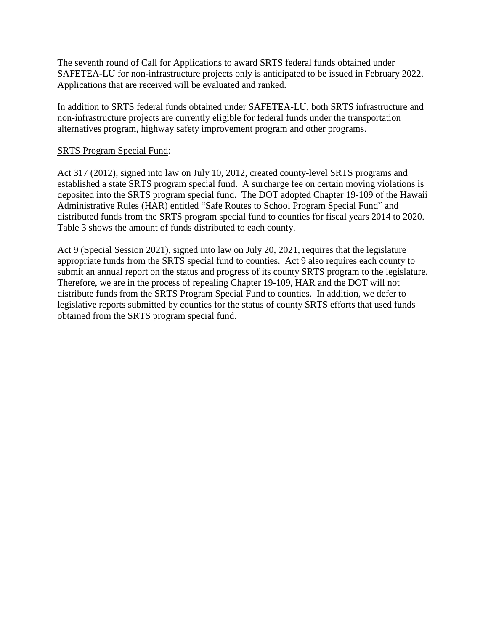The seventh round of Call for Applications to award SRTS federal funds obtained under SAFETEA-LU for non-infrastructure projects only is anticipated to be issued in February 2022. Applications that are received will be evaluated and ranked.

In addition to SRTS federal funds obtained under SAFETEA-LU, both SRTS infrastructure and non-infrastructure projects are currently eligible for federal funds under the transportation alternatives program, highway safety improvement program and other programs.

#### SRTS Program Special Fund:

Act 317 (2012), signed into law on July 10, 2012, created county-level SRTS programs and established a state SRTS program special fund. A surcharge fee on certain moving violations is deposited into the SRTS program special fund. The DOT adopted Chapter 19-109 of the Hawaii Administrative Rules (HAR) entitled "Safe Routes to School Program Special Fund" and distributed funds from the SRTS program special fund to counties for fiscal years 2014 to 2020. Table 3 shows the amount of funds distributed to each county.

Act 9 (Special Session 2021), signed into law on July 20, 2021, requires that the legislature appropriate funds from the SRTS special fund to counties. Act 9 also requires each county to submit an annual report on the status and progress of its county SRTS program to the legislature. Therefore, we are in the process of repealing Chapter 19-109, HAR and the DOT will not distribute funds from the SRTS Program Special Fund to counties. In addition, we defer to legislative reports submitted by counties for the status of county SRTS efforts that used funds obtained from the SRTS program special fund.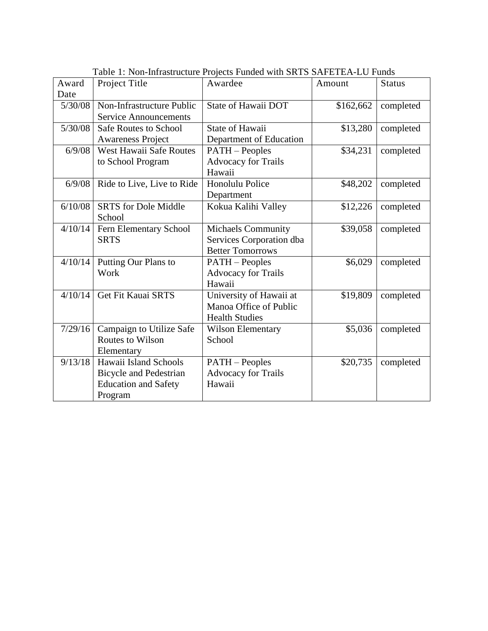| Award   | Project Title                 | Facie 1. Twil-filliasu actuic 1 fojects 1 unucu with SKTS SAT LTLA-LO 1 unus<br>Awardee | Amount    | <b>Status</b> |
|---------|-------------------------------|-----------------------------------------------------------------------------------------|-----------|---------------|
| Date    |                               |                                                                                         |           |               |
| 5/30/08 | Non-Infrastructure Public     | State of Hawaii DOT                                                                     | \$162,662 | completed     |
|         | <b>Service Announcements</b>  |                                                                                         |           |               |
| 5/30/08 | <b>Safe Routes to School</b>  | <b>State of Hawaii</b>                                                                  | \$13,280  | completed     |
|         | <b>Awareness Project</b>      | Department of Education                                                                 |           |               |
| 6/9/08  | West Hawaii Safe Routes       | <b>PATH</b> - Peoples                                                                   | \$34,231  | completed     |
|         | to School Program             | <b>Advocacy for Trails</b>                                                              |           |               |
|         |                               | Hawaii                                                                                  |           |               |
| 6/9/08  | Ride to Live, Live to Ride    | Honolulu Police                                                                         | \$48,202  | completed     |
|         |                               | Department                                                                              |           |               |
| 6/10/08 | <b>SRTS</b> for Dole Middle   | Kokua Kalihi Valley                                                                     | \$12,226  | completed     |
|         | School                        |                                                                                         |           |               |
| 4/10/14 | Fern Elementary School        | Michaels Community                                                                      | \$39,058  | completed     |
|         | <b>SRTS</b>                   | Services Corporation dba                                                                |           |               |
|         |                               | <b>Better Tomorrows</b>                                                                 |           |               |
| 4/10/14 | Putting Our Plans to          | <b>PATH</b> – Peoples                                                                   | \$6,029   | completed     |
|         | Work                          | <b>Advocacy for Trails</b>                                                              |           |               |
|         |                               | Hawaii                                                                                  |           |               |
| 4/10/14 | Get Fit Kauai SRTS            | University of Hawaii at                                                                 | \$19,809  | completed     |
|         |                               | Manoa Office of Public                                                                  |           |               |
|         |                               | <b>Health Studies</b>                                                                   |           |               |
| 7/29/16 | Campaign to Utilize Safe      | <b>Wilson Elementary</b>                                                                | \$5,036   | completed     |
|         | <b>Routes to Wilson</b>       | School                                                                                  |           |               |
|         | Elementary                    |                                                                                         |           |               |
| 9/13/18 | Hawaii Island Schools         | <b>PATH</b> - Peoples                                                                   | \$20,735  | completed     |
|         | <b>Bicycle and Pedestrian</b> | <b>Advocacy for Trails</b>                                                              |           |               |
|         | <b>Education and Safety</b>   | Hawaii                                                                                  |           |               |
|         | Program                       |                                                                                         |           |               |

Table 1: Non-Infrastructure Projects Funded with SRTS SAFETEA-LU Funds